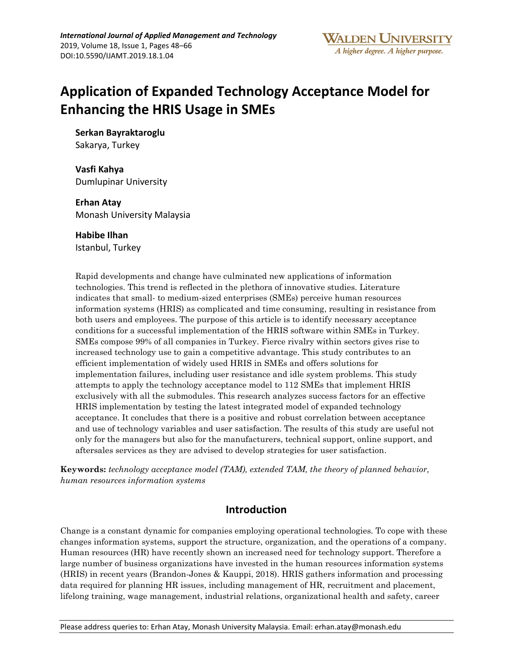# **Application of Expanded Technology Acceptance Model for Enhancing the HRIS Usage in SMEs**

**Serkan Bayraktaroglu** 

Sakarya, Turkey

**Vasfi Kahya**  Dumlupinar University

**Erhan Atay**  Monash University Malaysia

**Habibe Ilhan** Istanbul, Turkey

Rapid developments and change have culminated new applications of information technologies. This trend is reflected in the plethora of innovative studies. Literature indicates that small- to medium-sized enterprises (SMEs) perceive human resources information systems (HRIS) as complicated and time consuming, resulting in resistance from both users and employees. The purpose of this article is to identify necessary acceptance conditions for a successful implementation of the HRIS software within SMEs in Turkey. SMEs compose 99% of all companies in Turkey. Fierce rivalry within sectors gives rise to increased technology use to gain a competitive advantage. This study contributes to an efficient implementation of widely used HRIS in SMEs and offers solutions for implementation failures, including user resistance and idle system problems. This study attempts to apply the technology acceptance model to 112 SMEs that implement HRIS exclusively with all the submodules. This research analyzes success factors for an effective HRIS implementation by testing the latest integrated model of expanded technology acceptance. It concludes that there is a positive and robust correlation between acceptance and use of technology variables and user satisfaction. The results of this study are useful not only for the managers but also for the manufacturers, technical support, online support, and aftersales services as they are advised to develop strategies for user satisfaction.

**Keywords:** *technology acceptance model (TAM), extended TAM, the theory of planned behavior, human resources information systems*

# **Introduction**

Change is a constant dynamic for companies employing operational technologies. To cope with these changes information systems, support the structure, organization, and the operations of a company. Human resources (HR) have recently shown an increased need for technology support. Therefore a large number of business organizations have invested in the human resources information systems (HRIS) in recent years (Brandon-Jones & Kauppi, 2018). HRIS gathers information and processing data required for planning HR issues, including management of HR, recruitment and placement, lifelong training, wage management, industrial relations, organizational health and safety, career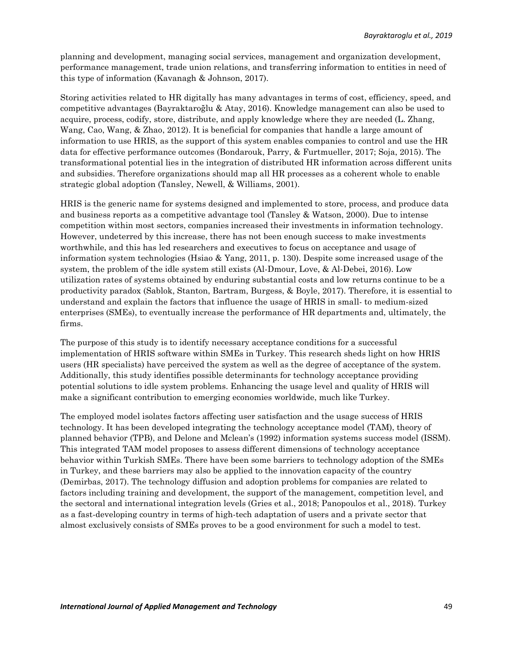planning and development, managing social services, management and organization development, performance management, trade union relations, and transferring information to entities in need of this type of information (Kavanagh & Johnson, 2017).

Storing activities related to HR digitally has many advantages in terms of cost, efficiency, speed, and competitive advantages (Bayraktaroğlu & Atay, 2016). Knowledge management can also be used to acquire, process, codify, store, distribute, and apply knowledge where they are needed (L. Zhang, Wang, Cao, Wang, & Zhao, 2012). It is beneficial for companies that handle a large amount of information to use HRIS, as the support of this system enables companies to control and use the HR data for effective performance outcomes (Bondarouk, Parry, & Furtmueller, 2017; Soja, 2015). The transformational potential lies in the integration of distributed HR information across different units and subsidies. Therefore organizations should map all HR processes as a coherent whole to enable strategic global adoption (Tansley, Newell, & Williams, 2001).

HRIS is the generic name for systems designed and implemented to store, process, and produce data and business reports as a competitive advantage tool (Tansley & Watson, 2000). Due to intense competition within most sectors, companies increased their investments in information technology. However, undeterred by this increase, there has not been enough success to make investments worthwhile, and this has led researchers and executives to focus on acceptance and usage of information system technologies (Hsiao & Yang, 2011, p. 130). Despite some increased usage of the system, the problem of the idle system still exists (Al-Dmour, Love, & Al-Debei, 2016). Low utilization rates of systems obtained by enduring substantial costs and low returns continue to be a productivity paradox (Sablok, Stanton, Bartram, Burgess, & Boyle, 2017). Therefore, it is essential to understand and explain the factors that influence the usage of HRIS in small- to medium-sized enterprises (SMEs), to eventually increase the performance of HR departments and, ultimately, the firms.

The purpose of this study is to identify necessary acceptance conditions for a successful implementation of HRIS software within SMEs in Turkey. This research sheds light on how HRIS users (HR specialists) have perceived the system as well as the degree of acceptance of the system. Additionally, this study identifies possible determinants for technology acceptance providing potential solutions to idle system problems. Enhancing the usage level and quality of HRIS will make a significant contribution to emerging economies worldwide, much like Turkey.

The employed model isolates factors affecting user satisfaction and the usage success of HRIS technology. It has been developed integrating the technology acceptance model (TAM), theory of planned behavior (TPB), and Delone and Mclean's (1992) information systems success model (ISSM). This integrated TAM model proposes to assess different dimensions of technology acceptance behavior within Turkish SMEs. There have been some barriers to technology adoption of the SMEs in Turkey, and these barriers may also be applied to the innovation capacity of the country (Demirbas, 2017). The technology diffusion and adoption problems for companies are related to factors including training and development, the support of the management, competition level, and the sectoral and international integration levels (Gries et al., 2018; Panopoulos et al., 2018). Turkey as a fast-developing country in terms of high-tech adaptation of users and a private sector that almost exclusively consists of SMEs proves to be a good environment for such a model to test.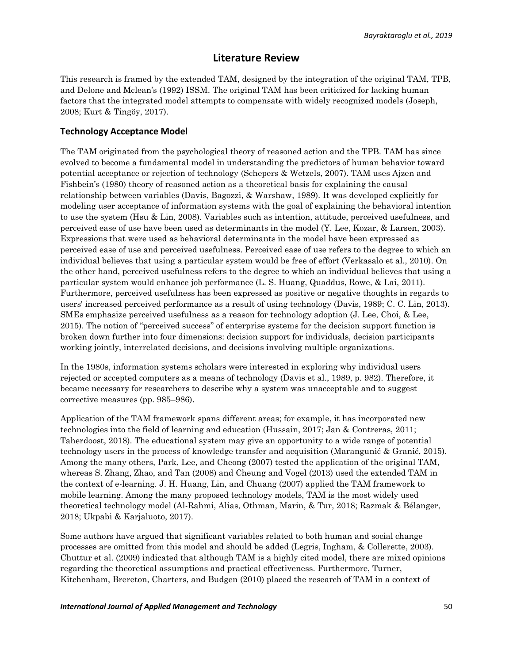## **Literature Review**

This research is framed by the extended TAM, designed by the integration of the original TAM, TPB, and Delone and Mclean's (1992) ISSM. The original TAM has been criticized for lacking human factors that the integrated model attempts to compensate with widely recognized models (Joseph, 2008; Kurt & Tingöy, 2017).

### **Technology Acceptance Model**

The TAM originated from the psychological theory of reasoned action and the TPB. TAM has since evolved to become a fundamental model in understanding the predictors of human behavior toward potential acceptance or rejection of technology (Schepers & Wetzels, 2007). TAM uses Ajzen and Fishbein's (1980) theory of reasoned action as a theoretical basis for explaining the causal relationship between variables (Davis, Bagozzi, & Warshaw, 1989). It was developed explicitly for modeling user acceptance of information systems with the goal of explaining the behavioral intention to use the system (Hsu & Lin, 2008). Variables such as intention, attitude, perceived usefulness, and perceived ease of use have been used as determinants in the model (Y. Lee, Kozar, & Larsen, 2003). Expressions that were used as behavioral determinants in the model have been expressed as perceived ease of use and perceived usefulness. Perceived ease of use refers to the degree to which an individual believes that using a particular system would be free of effort (Verkasalo et al., 2010). On the other hand, perceived usefulness refers to the degree to which an individual believes that using a particular system would enhance job performance (L. S. Huang, Quaddus, Rowe, & Lai, 2011). Furthermore, perceived usefulness has been expressed as positive or negative thoughts in regards to users' increased perceived performance as a result of using technology (Davis, 1989; C. C. Lin, 2013). SMEs emphasize perceived usefulness as a reason for technology adoption (J. Lee, Choi, & Lee, 2015). The notion of ''perceived success'' of enterprise systems for the decision support function is broken down further into four dimensions: decision support for individuals, decision participants working jointly, interrelated decisions, and decisions involving multiple organizations.

In the 1980s, information systems scholars were interested in exploring why individual users rejected or accepted computers as a means of technology (Davis et al., 1989, p. 982). Therefore, it became necessary for researchers to describe why a system was unacceptable and to suggest corrective measures (pp. 985–986).

Application of the TAM framework spans different areas; for example, it has incorporated new technologies into the field of learning and education (Hussain, 2017; Jan & Contreras, 2011; Taherdoost, 2018). The educational system may give an opportunity to a wide range of potential technology users in the process of knowledge transfer and acquisition (Marangunić & Granić, 2015). Among the many others, Park, Lee, and Cheong (2007) tested the application of the original TAM, whereas S. Zhang, Zhao, and Tan (2008) and Cheung and Vogel (2013) used the extended TAM in the context of e-learning. J. H. Huang, Lin, and Chuang (2007) applied the TAM framework to mobile learning. Among the many proposed technology models, TAM is the most widely used theoretical technology model (Al-Rahmi, Alias, Othman, Marin, & Tur, 2018; Razmak & Bélanger, 2018; Ukpabi & Karjaluoto, 2017).

Some authors have argued that significant variables related to both human and social change processes are omitted from this model and should be added (Legris, Ingham, & Collerette, 2003). Chuttur et al. (2009) indicated that although TAM is a highly cited model, there are mixed opinions regarding the theoretical assumptions and practical effectiveness. Furthermore, Turner, Kitchenham, Brereton, Charters, and Budgen (2010) placed the research of TAM in a context of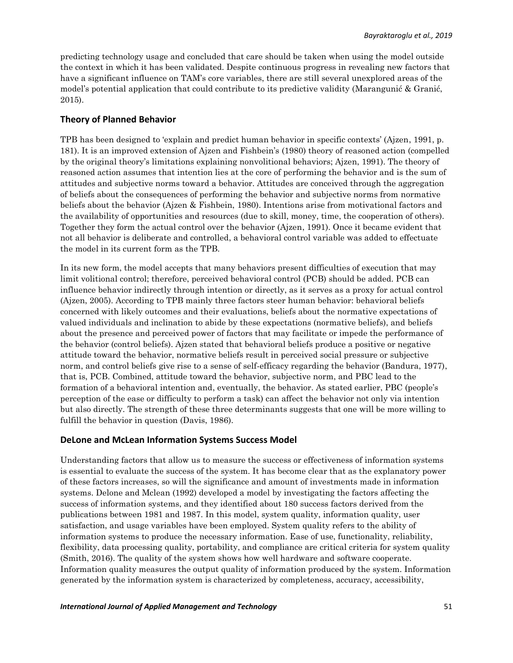predicting technology usage and concluded that care should be taken when using the model outside the context in which it has been validated. Despite continuous progress in revealing new factors that have a significant influence on TAM's core variables, there are still several unexplored areas of the model's potential application that could contribute to its predictive validity (Marangunić & Granić, 2015).

### **Theory of Planned Behavior**

TPB has been designed to 'explain and predict human behavior in specific contexts' (Ajzen, 1991, p. 181). It is an improved extension of Ajzen and Fishbein's (1980) theory of reasoned action (compelled by the original theory's limitations explaining nonvolitional behaviors; Ajzen, 1991). The theory of reasoned action assumes that intention lies at the core of performing the behavior and is the sum of attitudes and subjective norms toward a behavior. Attitudes are conceived through the aggregation of beliefs about the consequences of performing the behavior and subjective norms from normative beliefs about the behavior (Ajzen & Fishbein, 1980). Intentions arise from motivational factors and the availability of opportunities and resources (due to skill, money, time, the cooperation of others). Together they form the actual control over the behavior (Ajzen, 1991). Once it became evident that not all behavior is deliberate and controlled, a behavioral control variable was added to effectuate the model in its current form as the TPB.

In its new form, the model accepts that many behaviors present difficulties of execution that may limit volitional control; therefore, perceived behavioral control (PCB) should be added. PCB can influence behavior indirectly through intention or directly, as it serves as a proxy for actual control (Ajzen, 2005). According to TPB mainly three factors steer human behavior: behavioral beliefs concerned with likely outcomes and their evaluations, beliefs about the normative expectations of valued individuals and inclination to abide by these expectations (normative beliefs), and beliefs about the presence and perceived power of factors that may facilitate or impede the performance of the behavior (control beliefs). Ajzen stated that behavioral beliefs produce a positive or negative attitude toward the behavior, normative beliefs result in perceived social pressure or subjective norm, and control beliefs give rise to a sense of self-efficacy regarding the behavior (Bandura, 1977), that is, PCB. Combined, attitude toward the behavior, subjective norm, and PBC lead to the formation of a behavioral intention and, eventually, the behavior. As stated earlier, PBC (people's perception of the ease or difficulty to perform a task) can affect the behavior not only via intention but also directly. The strength of these three determinants suggests that one will be more willing to fulfill the behavior in question (Davis, 1986).

#### **DeLone and McLean Information Systems Success Model**

Understanding factors that allow us to measure the success or effectiveness of information systems is essential to evaluate the success of the system. It has become clear that as the explanatory power of these factors increases, so will the significance and amount of investments made in information systems. Delone and Mclean (1992) developed a model by investigating the factors affecting the success of information systems, and they identified about 180 success factors derived from the publications between 1981 and 1987. In this model, system quality, information quality, user satisfaction, and usage variables have been employed. System quality refers to the ability of information systems to produce the necessary information. Ease of use, functionality, reliability, flexibility, data processing quality, portability, and compliance are critical criteria for system quality (Smith, 2016). The quality of the system shows how well hardware and software cooperate. Information quality measures the output quality of information produced by the system. Information generated by the information system is characterized by completeness, accuracy, accessibility,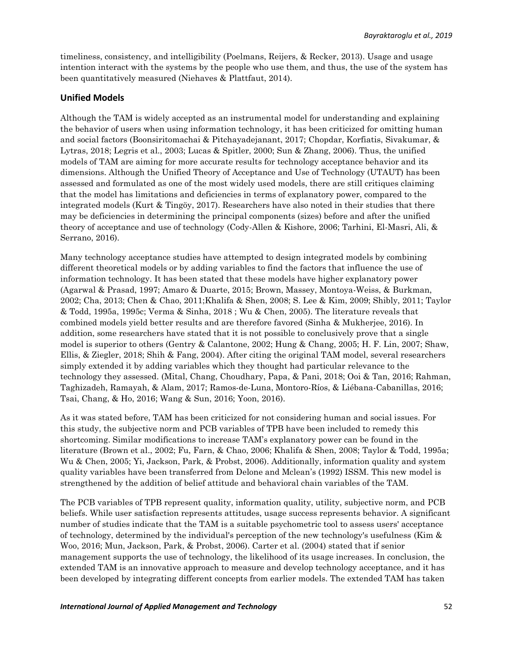timeliness, consistency, and intelligibility (Poelmans, Reijers, & Recker, 2013). Usage and usage intention interact with the systems by the people who use them, and thus, the use of the system has been quantitatively measured (Niehaves & Plattfaut, 2014).

### **Unified Models**

Although the TAM is widely accepted as an instrumental model for understanding and explaining the behavior of users when using information technology, it has been criticized for omitting human and social factors (Boonsiritomachai & Pitchayadejanant, 2017; Chopdar, Korfiatis, Sivakumar, & Lytras, 2018; Legris et al., 2003; Lucas & Spitler, 2000; Sun & Zhang, 2006). Thus, the unified models of TAM are aiming for more accurate results for technology acceptance behavior and its dimensions. Although the Unified Theory of Acceptance and Use of Technology (UTAUT) has been assessed and formulated as one of the most widely used models, there are still critiques claiming that the model has limitations and deficiencies in terms of explanatory power, compared to the integrated models (Kurt & Tingöy, 2017). Researchers have also noted in their studies that there may be deficiencies in determining the principal components (sizes) before and after the unified theory of acceptance and use of technology (Cody-Allen & Kishore, 2006; Tarhini, El-Masri, Ali, & Serrano, 2016).

Many technology acceptance studies have attempted to design integrated models by combining different theoretical models or by adding variables to find the factors that influence the use of information technology. It has been stated that these models have higher explanatory power (Agarwal & Prasad, 1997; Amaro & Duarte, 2015; Brown, Massey, Montoya-Weiss, & Burkman, 2002; Cha, 2013; Chen & Chao, 2011;Khalifa & Shen, 2008; S. Lee & Kim, 2009; Shibly, 2011; Taylor & Todd, 1995a, 1995c; Verma & Sinha, 2018 ; Wu & Chen, 2005). The literature reveals that combined models yield better results and are therefore favored (Sinha & Mukherjee, 2016). In addition, some researchers have stated that it is not possible to conclusively prove that a single model is superior to others (Gentry & Calantone, 2002; Hung & Chang, 2005; H. F. Lin, 2007; Shaw, Ellis, & Ziegler, 2018; Shih & Fang, 2004). After citing the original TAM model, several researchers simply extended it by adding variables which they thought had particular relevance to the technology they assessed. (Mital, Chang, Choudhary, Papa, & Pani, 2018; Ooi & Tan, 2016; Rahman, Taghizadeh, Ramayah, & Alam, 2017; Ramos-de-Luna, Montoro-Ríos, & Liébana-Cabanillas, 2016; Tsai, Chang, & Ho, 2016; Wang & Sun, 2016; Yoon, 2016).

As it was stated before, TAM has been criticized for not considering human and social issues. For this study, the subjective norm and PCB variables of TPB have been included to remedy this shortcoming. Similar modifications to increase TAM's explanatory power can be found in the literature (Brown et al., 2002; Fu, Farn, & Chao, 2006; Khalifa & Shen, 2008; Taylor & Todd, 1995a; Wu & Chen, 2005; Yi, Jackson, Park, & Probst, 2006). Additionally, information quality and system quality variables have been transferred from Delone and Mclean's (1992) ISSM. This new model is strengthened by the addition of belief attitude and behavioral chain variables of the TAM.

The PCB variables of TPB represent quality, information quality, utility, subjective norm, and PCB beliefs. While user satisfaction represents attitudes, usage success represents behavior. A significant number of studies indicate that the TAM is a suitable psychometric tool to assess users' acceptance of technology, determined by the individual's perception of the new technology's usefulness (Kim & Woo, 2016; Mun, Jackson, Park, & Probst, 2006). Carter et al. (2004) stated that if senior management supports the use of technology, the likelihood of its usage increases. In conclusion, the extended TAM is an innovative approach to measure and develop technology acceptance, and it has been developed by integrating different concepts from earlier models. The extended TAM has taken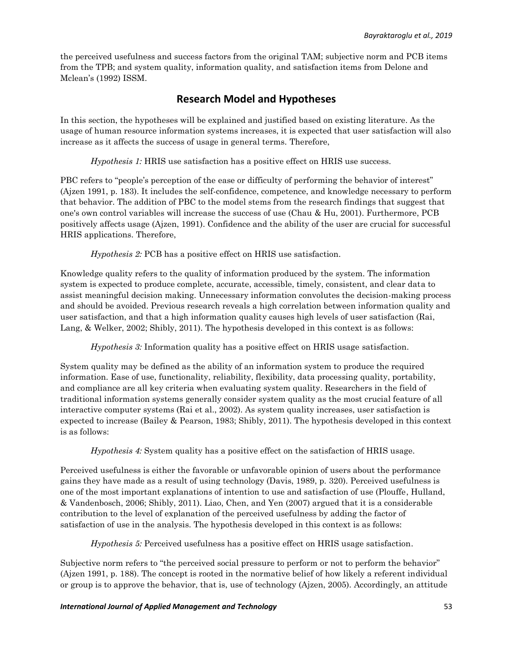the perceived usefulness and success factors from the original TAM; subjective norm and PCB items from the TPB; and system quality, information quality, and satisfaction items from Delone and Mclean's (1992) ISSM.

# **Research Model and Hypotheses**

In this section, the hypotheses will be explained and justified based on existing literature. As the usage of human resource information systems increases, it is expected that user satisfaction will also increase as it affects the success of usage in general terms. Therefore,

*Hypothesis 1:* HRIS use satisfaction has a positive effect on HRIS use success.

PBC refers to "people's perception of the ease or difficulty of performing the behavior of interest" (Ajzen 1991, p. 183). It includes the self-confidence, competence, and knowledge necessary to perform that behavior. The addition of PBC to the model stems from the research findings that suggest that one's own control variables will increase the success of use (Chau & Hu, 2001). Furthermore, PCB positively affects usage (Ajzen, 1991). Confidence and the ability of the user are crucial for successful HRIS applications. Therefore,

*Hypothesis 2:* PCB has a positive effect on HRIS use satisfaction.

Knowledge quality refers to the quality of information produced by the system. The information system is expected to produce complete, accurate, accessible, timely, consistent, and clear data to assist meaningful decision making. Unnecessary information convolutes the decision-making process and should be avoided. Previous research reveals a high correlation between information quality and user satisfaction, and that a high information quality causes high levels of user satisfaction (Rai, Lang, & Welker, 2002; Shibly, 2011). The hypothesis developed in this context is as follows:

*Hypothesis 3:* Information quality has a positive effect on HRIS usage satisfaction.

System quality may be defined as the ability of an information system to produce the required information. Ease of use, functionality, reliability, flexibility, data processing quality, portability, and compliance are all key criteria when evaluating system quality. Researchers in the field of traditional information systems generally consider system quality as the most crucial feature of all interactive computer systems (Rai et al., 2002). As system quality increases, user satisfaction is expected to increase (Bailey & Pearson, 1983; Shibly, 2011). The hypothesis developed in this context is as follows:

*Hypothesis 4:* System quality has a positive effect on the satisfaction of HRIS usage.

Perceived usefulness is either the favorable or unfavorable opinion of users about the performance gains they have made as a result of using technology (Davis, 1989, p. 320). Perceived usefulness is one of the most important explanations of intention to use and satisfaction of use (Plouffe, Hulland, & Vandenbosch, 2006; Shibly, 2011). Liao, Chen, and Yen (2007) argued that it is a considerable contribution to the level of explanation of the perceived usefulness by adding the factor of satisfaction of use in the analysis. The hypothesis developed in this context is as follows:

*Hypothesis 5:* Perceived usefulness has a positive effect on HRIS usage satisfaction.

Subjective norm refers to "the perceived social pressure to perform or not to perform the behavior" (Ajzen 1991, p. 188). The concept is rooted in the normative belief of how likely a referent individual or group is to approve the behavior, that is, use of technology (Ajzen, 2005). Accordingly, an attitude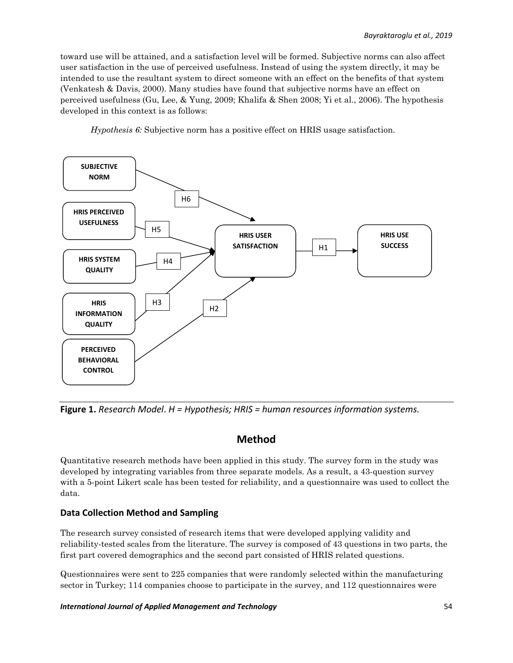toward use will be attained, and a satisfaction level will be formed. Subjective norms can also affect user satisfaction in the use of perceived usefulness. Instead of using the system directly, it may be intended to use the resultant system to direct someone with an effect on the benefits of that system (Venkatesh & Davis, 2000). Many studies have found that subjective norms have an effect on perceived usefulness (Gu, Lee, & Yung, 2009; Khalifa & Shen 2008; Yi et al., 2006). The hypothesis developed in this context is as follows:

*Hypothesis 6:* Subjective norm has a positive effect on HRIS usage satisfaction.



**Figure 1.** *Research Model*. *H = Hypothesis; HRIS = human resources information systems.*

# **Method**

Quantitative research methods have been applied in this study. The survey form in the study was developed by integrating variables from three separate models. As a result, a 43-question survey with a 5-point Likert scale has been tested for reliability, and a questionnaire was used to collect the data.

### **Data Collection Method and Sampling**

The research survey consisted of research items that were developed applying validity and reliability-tested scales from the literature. The survey is composed of 43 questions in two parts, the first part covered demographics and the second part consisted of HRIS related questions.

Questionnaires were sent to 225 companies that were randomly selected within the manufacturing sector in Turkey; 114 companies choose to participate in the survey, and 112 questionnaires were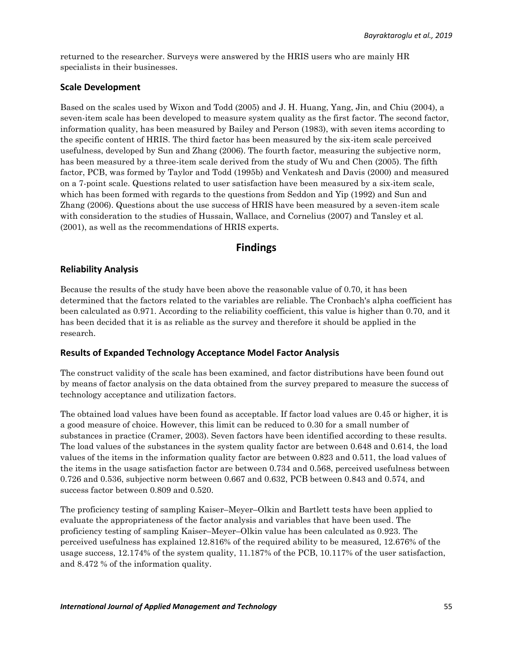returned to the researcher. Surveys were answered by the HRIS users who are mainly HR specialists in their businesses.

### **Scale Development**

Based on the scales used by Wixon and Todd (2005) and J. H. Huang, Yang, Jin, and Chiu (2004), a seven-item scale has been developed to measure system quality as the first factor. The second factor, information quality, has been measured by Bailey and Person (1983), with seven items according to the specific content of HRIS. The third factor has been measured by the six-item scale perceived usefulness, developed by Sun and Zhang (2006). The fourth factor, measuring the subjective norm, has been measured by a three-item scale derived from the study of Wu and Chen (2005). The fifth factor, PCB, was formed by Taylor and Todd (1995b) and Venkatesh and Davis (2000) and measured on a 7-point scale. Questions related to user satisfaction have been measured by a six-item scale, which has been formed with regards to the questions from Seddon and Yip (1992) and Sun and Zhang (2006). Questions about the use success of HRIS have been measured by a seven-item scale with consideration to the studies of Hussain, Wallace, and Cornelius (2007) and Tansley et al. (2001), as well as the recommendations of HRIS experts.

# **Findings**

### **Reliability Analysis**

Because the results of the study have been above the reasonable value of 0.70, it has been determined that the factors related to the variables are reliable. The Cronbach's alpha coefficient has been calculated as 0.971. According to the reliability coefficient, this value is higher than 0.70, and it has been decided that it is as reliable as the survey and therefore it should be applied in the research.

### **Results of Expanded Technology Acceptance Model Factor Analysis**

The construct validity of the scale has been examined, and factor distributions have been found out by means of factor analysis on the data obtained from the survey prepared to measure the success of technology acceptance and utilization factors.

The obtained load values have been found as acceptable. If factor load values are 0.45 or higher, it is a good measure of choice. However, this limit can be reduced to 0.30 for a small number of substances in practice (Cramer, 2003). Seven factors have been identified according to these results. The load values of the substances in the system quality factor are between 0.648 and 0.614, the load values of the items in the information quality factor are between 0.823 and 0.511, the load values of the items in the usage satisfaction factor are between 0.734 and 0.568, perceived usefulness between 0.726 and 0.536, subjective norm between 0.667 and 0.632, PCB between 0.843 and 0.574, and success factor between 0.809 and 0.520.

The proficiency testing of sampling Kaiser–Meyer–Olkin and Bartlett tests have been applied to evaluate the appropriateness of the factor analysis and variables that have been used. The proficiency testing of sampling Kaiser–Meyer–Olkin value has been calculated as 0.923. The perceived usefulness has explained 12.816% of the required ability to be measured, 12.676% of the usage success, 12.174% of the system quality, 11.187% of the PCB, 10.117% of the user satisfaction, and 8.472 % of the information quality.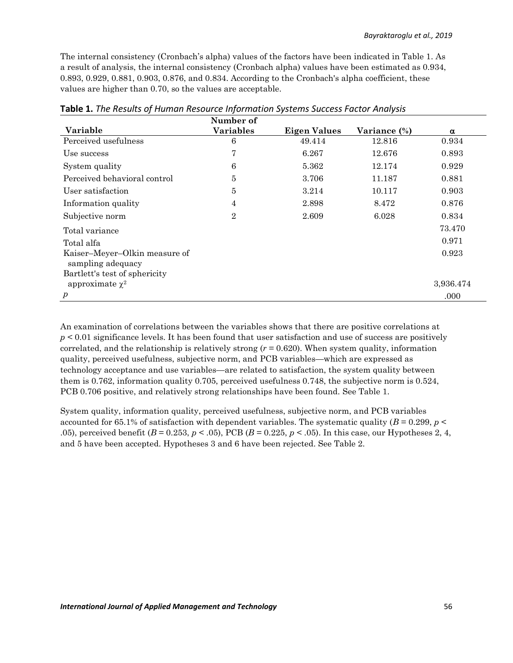The internal consistency (Cronbach's alpha) values of the factors have been indicated in Table 1. As a result of analysis, the internal consistency (Cronbach alpha) values have been estimated as 0.934, 0.893, 0.929, 0.881, 0.903, 0.876, and 0.834. According to the Cronbach's alpha coefficient, these values are higher than 0.70, so the values are acceptable.

|                                                    | Number of        |                     |              |           |
|----------------------------------------------------|------------------|---------------------|--------------|-----------|
| Variable                                           | <b>Variables</b> | <b>Eigen Values</b> | Variance (%) | α         |
| Perceived usefulness                               | 6                | 49.414              | 12.816       | 0.934     |
| Use success                                        | $\overline{7}$   | 6.267               | 12.676       | 0.893     |
| System quality                                     | 6                | 5.362               | 12.174       | 0.929     |
| Perceived behavioral control                       | $\bf 5$          | 3.706               | 11.187       | 0.881     |
| User satisfaction                                  | $\overline{5}$   | 3.214               | 10.117       | 0.903     |
| Information quality                                | $\overline{4}$   | 2.898               | 8.472        | 0.876     |
| Subjective norm                                    | $\overline{2}$   | 2.609               | 6.028        | 0.834     |
| Total variance                                     |                  |                     |              | 73.470    |
| Total alfa                                         |                  |                     |              | 0.971     |
| Kaiser-Meyer-Olkin measure of<br>sampling adequacy |                  |                     |              | 0.923     |
| Bartlett's test of sphericity                      |                  |                     |              |           |
| approximate $\chi^2$                               |                  |                     |              | 3,936.474 |
| $\boldsymbol{p}$                                   |                  |                     |              | .000      |

**Table 1.** *The Results of Human Resource Information Systems Success Factor Analysis*

An examination of correlations between the variables shows that there are positive correlations at *p* < 0.01 significance levels. It has been found that user satisfaction and use of success are positively correlated, and the relationship is relatively strong (*r* = 0.620). When system quality, information quality, perceived usefulness, subjective norm, and PCB variables—which are expressed as technology acceptance and use variables—are related to satisfaction, the system quality between them is 0.762, information quality 0.705, perceived usefulness 0.748, the subjective norm is 0.524, PCB 0.706 positive, and relatively strong relationships have been found. See Table 1.

System quality, information quality, perceived usefulness, subjective norm, and PCB variables accounted for 65.1% of satisfaction with dependent variables. The systematic quality  $(B = 0.299, p <$ .05), perceived benefit (*B* = 0.253, *p* < .05), PCB (*B* = 0.225, *p* < .05). In this case, our Hypotheses 2, 4, and 5 have been accepted. Hypotheses 3 and 6 have been rejected. See Table 2.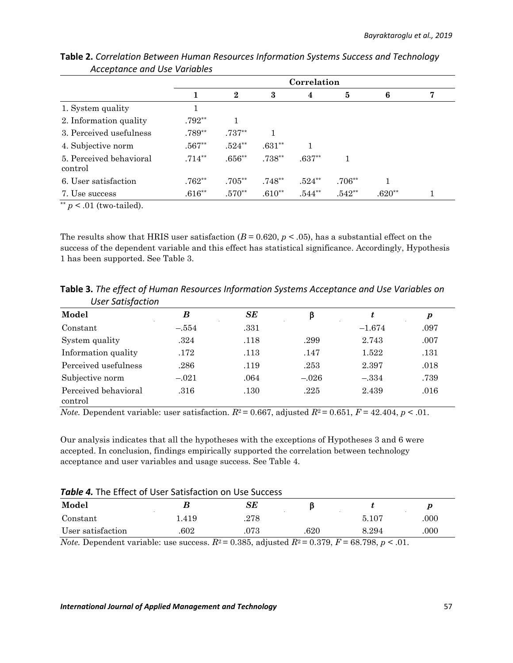|                                    | Correlation |                  |          |          |          |          |   |
|------------------------------------|-------------|------------------|----------|----------|----------|----------|---|
|                                    |             | $\boldsymbol{2}$ | 3        | 4        | 5        | 6        | 7 |
| 1. System quality                  |             |                  |          |          |          |          |   |
| 2. Information quality             | $.792**$    |                  |          |          |          |          |   |
| 3. Perceived usefulness            | $.789**$    | $.737**$         |          |          |          |          |   |
| 4. Subjective norm                 | $.567**$    | $.524**$         | $.631**$ |          |          |          |   |
| 5. Perceived behavioral<br>control | $.714**$    | $.656**$         | $.738**$ | $.637**$ |          |          |   |
| 6. User satisfaction               | $.762**$    | $.705**$         | $.748**$ | $.524**$ | $.706**$ |          |   |
| 7. Use success                     | $.616**$    | $.570**$         | $.610**$ | $.544**$ | $.542**$ | $.620**$ |   |

**Table 2.** *Correlation Between Human Resources Information Systems Success and Technology Acceptance and Use Variables*

 $^{**}p < .01$  (two-tailed).

The results show that HRIS user satisfaction  $(B = 0.620, p < .05)$ , has a substantial effect on the success of the dependent variable and this effect has statistical significance. Accordingly, Hypothesis 1 has been supported. See Table 3.

**Table 3.** *The effect of Human Resources Information Systems Acceptance and Use Variables on User Satisfaction*

| Model                           | В       | SЕ   |         |          | р    |
|---------------------------------|---------|------|---------|----------|------|
| Constant                        | $-.554$ | .331 |         | $-1.674$ | .097 |
| System quality                  | .324    | .118 | .299    | 2.743    | .007 |
| Information quality             | .172    | .113 | .147    | 1.522    | .131 |
| Perceived usefulness            | .286    | .119 | .253    | 2.397    | .018 |
| Subjective norm                 | $-.021$ | .064 | $-.026$ | $-.334$  | .739 |
| Perceived behavioral<br>control | .316    | .130 | .225    | 2.439    | .016 |

*Note.* Dependent variable: user satisfaction.  $R^2 = 0.667$ , adjusted  $R^2 = 0.651$ ,  $F = 42.404$ ,  $p < .01$ .

Our analysis indicates that all the hypotheses with the exceptions of Hypotheses 3 and 6 were accepted. In conclusion, findings empirically supported the correlation between technology acceptance and user variables and usage success. See Table 4.

| Table 4. The Effect of User Satisfaction on Use Success |  |
|---------------------------------------------------------|--|
|---------------------------------------------------------|--|

| Model             |      | $SE\,$   |      |       |      |
|-------------------|------|----------|------|-------|------|
| Constant          | .419 | .278     |      | 5.107 | .000 |
| User satisfaction | 602  | $.073\,$ | .620 | 8.294 | .000 |

*Note.* Dependent variable: use success.  $R^2 = 0.385$ , adjusted  $R^2 = 0.379$ ,  $F = 68.798$ ,  $p < 0.01$ .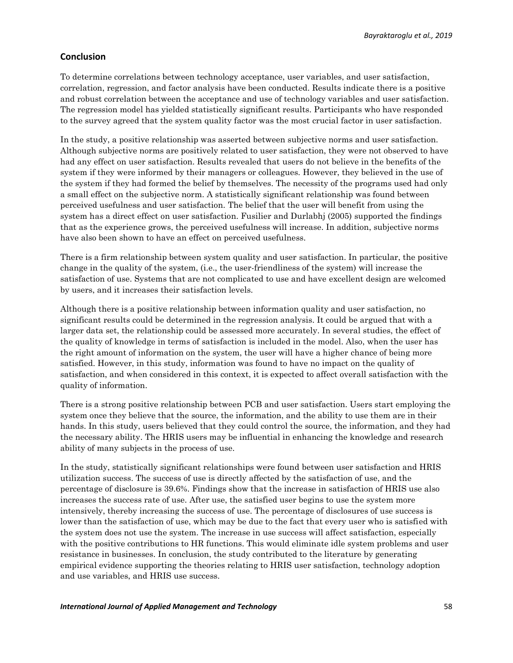### **Conclusion**

To determine correlations between technology acceptance, user variables, and user satisfaction, correlation, regression, and factor analysis have been conducted. Results indicate there is a positive and robust correlation between the acceptance and use of technology variables and user satisfaction. The regression model has yielded statistically significant results. Participants who have responded to the survey agreed that the system quality factor was the most crucial factor in user satisfaction.

In the study, a positive relationship was asserted between subjective norms and user satisfaction. Although subjective norms are positively related to user satisfaction, they were not observed to have had any effect on user satisfaction. Results revealed that users do not believe in the benefits of the system if they were informed by their managers or colleagues. However, they believed in the use of the system if they had formed the belief by themselves. The necessity of the programs used had only a small effect on the subjective norm. A statistically significant relationship was found between perceived usefulness and user satisfaction. The belief that the user will benefit from using the system has a direct effect on user satisfaction. Fusilier and Durlabhj (2005) supported the findings that as the experience grows, the perceived usefulness will increase. In addition, subjective norms have also been shown to have an effect on perceived usefulness.

There is a firm relationship between system quality and user satisfaction. In particular, the positive change in the quality of the system, (i.e., the user-friendliness of the system) will increase the satisfaction of use. Systems that are not complicated to use and have excellent design are welcomed by users, and it increases their satisfaction levels.

Although there is a positive relationship between information quality and user satisfaction, no significant results could be determined in the regression analysis. It could be argued that with a larger data set, the relationship could be assessed more accurately. In several studies, the effect of the quality of knowledge in terms of satisfaction is included in the model. Also, when the user has the right amount of information on the system, the user will have a higher chance of being more satisfied. However, in this study, information was found to have no impact on the quality of satisfaction, and when considered in this context, it is expected to affect overall satisfaction with the quality of information.

There is a strong positive relationship between PCB and user satisfaction. Users start employing the system once they believe that the source, the information, and the ability to use them are in their hands. In this study, users believed that they could control the source, the information, and they had the necessary ability. The HRIS users may be influential in enhancing the knowledge and research ability of many subjects in the process of use.

In the study, statistically significant relationships were found between user satisfaction and HRIS utilization success. The success of use is directly affected by the satisfaction of use, and the percentage of disclosure is 39.6%. Findings show that the increase in satisfaction of HRIS use also increases the success rate of use. After use, the satisfied user begins to use the system more intensively, thereby increasing the success of use. The percentage of disclosures of use success is lower than the satisfaction of use, which may be due to the fact that every user who is satisfied with the system does not use the system. The increase in use success will affect satisfaction, especially with the positive contributions to HR functions. This would eliminate idle system problems and user resistance in businesses. In conclusion, the study contributed to the literature by generating empirical evidence supporting the theories relating to HRIS user satisfaction, technology adoption and use variables, and HRIS use success.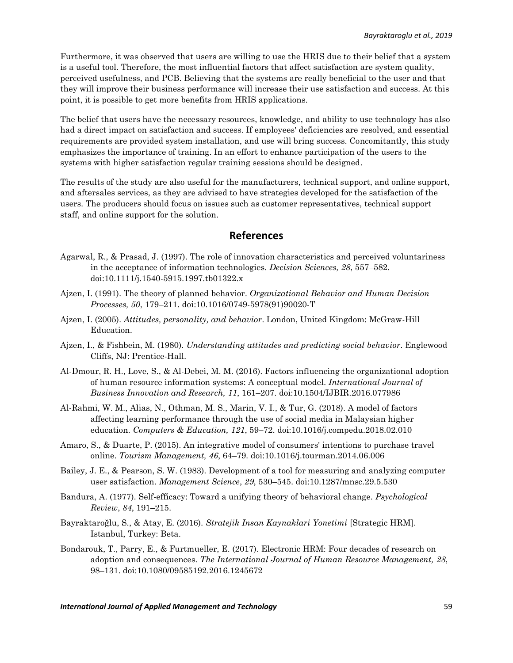Furthermore, it was observed that users are willing to use the HRIS due to their belief that a system is a useful tool. Therefore, the most influential factors that affect satisfaction are system quality, perceived usefulness, and PCB. Believing that the systems are really beneficial to the user and that they will improve their business performance will increase their use satisfaction and success. At this point, it is possible to get more benefits from HRIS applications.

The belief that users have the necessary resources, knowledge, and ability to use technology has also had a direct impact on satisfaction and success. If employees' deficiencies are resolved, and essential requirements are provided system installation, and use will bring success. Concomitantly, this study emphasizes the importance of training. In an effort to enhance participation of the users to the systems with higher satisfaction regular training sessions should be designed.

The results of the study are also useful for the manufacturers, technical support, and online support, and aftersales services, as they are advised to have strategies developed for the satisfaction of the users. The producers should focus on issues such as customer representatives, technical support staff, and online support for the solution.

## **References**

- Agarwal, R., & Prasad, J. (1997). The role of innovation characteristics and perceived voluntariness in the acceptance of information technologies. *Decision Sciences, 28*, 557–582. doi[:10.1111/j.1540-5915.1997.tb01322.x](https://doi.org/10.1111/j.1540-5915.1997.tb01322.x)
- Ajzen, I. (1991). The theory of planned behavior. *Organizational Behavior and Human Decision Processes, 50*, 179–211. doi[:10.1016/0749-5978\(91\)90020-T](https://doi.org/10.1016/0749-5978(91)90020-T)
- Ajzen, I. (2005). *Attitudes, personality, and behavior*. London, United Kingdom: McGraw-Hill Education.
- Ajzen, I., & Fishbein, M. (1980). *Understanding attitudes and predicting social behavior*. Englewood Cliffs, NJ: Prentice-Hall.
- Al-Dmour, R. H., Love, S., & Al-Debei, M. M. (2016). Factors influencing the organizational adoption of human resource information systems: A conceptual model. *International Journal of Business Innovation and Research, 11*, 161–207. doi[:10.1504/IJBIR.2016.077986](https://doi.org/10.1504/IJBIR.2016.077986)
- Al-Rahmi, W. M., Alias, N., Othman, M. S., Marin, V. I., & Tur, G. (2018). A model of factors affecting learning performance through the use of social media in Malaysian higher education. *Computers & Education, 121*, 59–72. doi[:10.1016/j.compedu.2018.02.010](https://doi.org/10.1016/j.compedu.2018.02.010)
- Amaro, S., & Duarte, P. (2015). An integrative model of consumers' intentions to purchase travel online. *Tourism Management, 46*, 64–79. doi[:10.1016/j.tourman.2014.06.006](https://doi.org/10.1016/j.tourman.2014.06.006)
- Bailey, J. E., & Pearson, S. W. (1983). Development of a tool for measuring and analyzing computer user satisfaction. *Management Science*, *29*, 530–545. doi[:10.1287/mnsc.29.5.530](https://doi.org/10.1287/mnsc.29.5.530)
- Bandura, A. (1977). Self-efficacy: Toward a unifying theory of behavioral change. *Psychological Review*, *84*, 191–215.
- Bayraktaroğlu, S., & Atay, E. (2016). *Stratejik Insan Kaynaklari Yonetimi* [Strategic HRM]. Istanbul, Turkey: Beta.
- Bondarouk, T., Parry, E., & Furtmueller, E. (2017). Electronic HRM: Four decades of research on adoption and consequences. *The International Journal of Human Resource Management, 28*, 98–131. doi[:10.1080/09585192.2016.1245672](https://doi.org/10.1080/09585192.2016.1245672)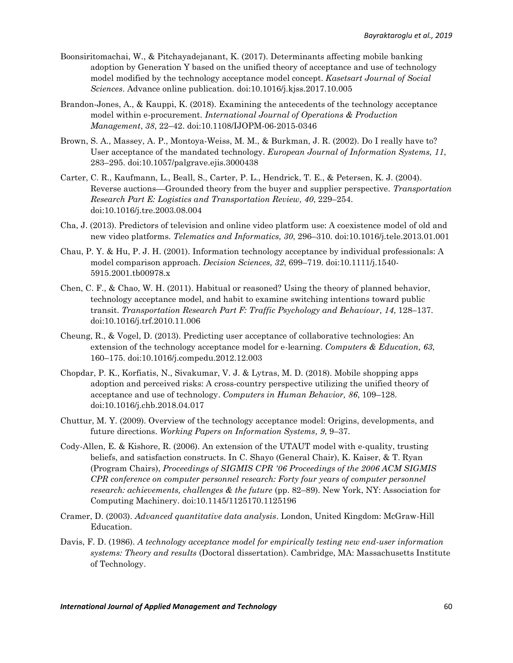- Boonsiritomachai, W., & Pitchayadejanant, K. (2017). Determinants affecting mobile banking adoption by Generation Y based on the unified theory of acceptance and use of technology model modified by the technology acceptance model concept. *Kasetsart Journal of Social Sciences*. Advance online publication. doi[:10.1016/j.kjss.2017.10.005](https://doi.org/10.1016/j.kjss.2017.10.005)
- Brandon-Jones, A., & Kauppi, K. (2018). Examining the antecedents of the technology acceptance model within e-procurement. *International Journal of Operations & Production Management*, *38*, 22–42. doi[:10.1108/IJOPM-06-2015-0346](https://doi.org/10.1108/IJOPM-06-2015-0346)
- Brown, S. A., Massey, A. P., Montoya-Weiss, M. M., & Burkman, J. R. (2002). Do I really have to? User acceptance of the mandated technology. *European Journal of Information Systems, 11*, 283–295. doi[:10.1057/palgrave.ejis.3000438](https://doi.org/10.1057/palgrave.ejis.3000438)
- Carter, C. R., Kaufmann, L., Beall, S., Carter, P. L., Hendrick, T. E., & Petersen, K. J. (2004). Reverse auctions––Grounded theory from the buyer and supplier perspective. *Transportation Research Part E: Logistics and Transportation Review, 40*, 229–254. doi[:10.1016/j.tre.2003.08.004](https://doi.org/10.1016/j.tre.2003.08.004)
- Cha, J. (2013). Predictors of television and online video platform use: A coexistence model of old and new video platforms. *Telematics and Informatics, 30*, 296–310. doi[:10.1016/j.tele.2013.01.001](https://doi.org/10.1016/j.tele.2013.01.001)
- Chau, P. Y. & Hu, P. J. H. (2001). Information technology acceptance by individual professionals: A model comparison approach. *Decision Sciences, 32*, 699–719. doi[:10.1111/j.1540-](https://doi.org/10.1111/j.1540-5915.2001.tb00978.x) [5915.2001.tb00978.x](https://doi.org/10.1111/j.1540-5915.2001.tb00978.x)
- Chen, C. F., & Chao, W. H. (2011). Habitual or reasoned? Using the theory of planned behavior, technology acceptance model, and habit to examine switching intentions toward public transit. *Transportation Research Part F: Traffic Psychology and Behaviour, 14*, 128–137. doi[:10.1016/j.trf.2010.11.006](https://doi.org/10.1016/j.trf.2010.11.006)
- Cheung, R., & Vogel, D. (2013). Predicting user acceptance of collaborative technologies: An extension of the technology acceptance model for e-learning. *Computers & Education, 63*, 160–175. doi[:10.1016/j.compedu.2012.12.003](https://doi.org/10.1016/j.compedu.2012.12.003)
- Chopdar, P. K., Korfiatis, N., Sivakumar, V. J. & Lytras, M. D. (2018). Mobile shopping apps adoption and perceived risks: A cross-country perspective utilizing the unified theory of acceptance and use of technology. *Computers in Human Behavior, 86*, 109–128. doi[:10.1016/j.chb.2018.04.017](https://doi.org/10.1016/j.chb.2018.04.017)
- Chuttur, M. Y. (2009). Overview of the technology acceptance model: Origins, developments, and future directions. *Working Papers on Information Systems, 9*, 9–37.
- Cody-Allen, E. & Kishore, R. (2006). An extension of the UTAUT model with e-quality, trusting beliefs, and satisfaction constructs. In C. Shayo (General Chair), K. Kaiser, & T. Ryan (Program Chairs), *Proceedings of SIGMIS CPR '06 Proceedings of the 2006 ACM SIGMIS CPR conference on computer personnel research: Forty four years of computer personnel research: achievements, challenges & the future* (pp. 82–89). New York, NY: Association for Computing Machinery. doi[:10.1145/1125170.1125196](https://doi.org/10.1145/1125170.1125196)
- Cramer, D. (2003). *Advanced quantitative data analysis*. London, United Kingdom: McGraw-Hill Education.
- Davis, F. D. (1986). *A technology acceptance model for empirically testing new end-user information systems: Theory and results* (Doctoral dissertation). Cambridge, MA: Massachusetts Institute of Technology.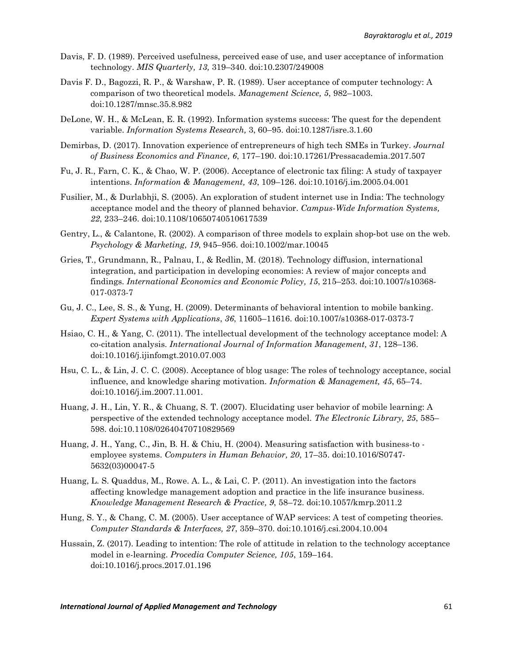- Davis, F. D. (1989). Perceived usefulness, perceived ease of use, and user acceptance of information technology. *MIS Quarterly, 13,* 319–340. doi:10.2307/249008
- Davis F. D., Bagozzi, R. P., & Warshaw, P. R. (1989). User acceptance of computer technology: A comparison of two theoretical models. *Management Science, 5*, 982–1003. doi[:10.1287/mnsc.35.8.982](https://doi.org/10.1287/mnsc.35.8.982)
- DeLone, W. H., & McLean, E. R. (1992). Information systems success: The quest for the dependent variable. *Information Systems Research,* 3, 60–95. doi[:10.1287/isre.3.1.60](https://doi.org/10.1287/isre.3.1.60)
- Demirbas, D. (2017). Innovation experience of entrepreneurs of high tech SMEs in Turkey. *Journal of Business Economics and Finance, 6*, 177–190. doi[:10.17261/Pressacademia.2017.507](http://dx.doi.org/10.17261/Pressacademia.2017.507)
- Fu, J. R., Farn, C. K., & Chao, W. P. (2006). Acceptance of electronic tax filing: A study of taxpayer intentions. *Information & Management, 43*, 109–126. doi[:10.1016/j.im.2005.04.001](https://doi.org/10.1016/j.im.2005.04.001)
- Fusilier, M., & Durlabhji, S. (2005). An exploration of student internet use in India: The technology acceptance model and the theory of planned behavior. *Campus-Wide Information Systems, 22*, 233–246. doi[:10.1108/10650740510617539](https://doi.org/10.1108/10650740510617539)
- Gentry, L., & Calantone, R. (2002). A comparison of three models to explain shop-bot use on the web. *Psychology & Marketing, 19*, 945–956. doi[:10.1002/mar.10045](https://doi.org/10.1002/mar.10045)
- Gries, T., Grundmann, R., Palnau, I., & Redlin, M. (2018). Technology diffusion, international integration, and participation in developing economies: A review of major concepts and findings. *International Economics and Economic Policy, 15*, 215–253. doi:10.1007/s10368- 017-0373-7
- Gu, J. C., Lee, S. S., & Yung, H. (2009). Determinants of behavioral intention to mobile banking. *Expert Systems with Applications*, *36*, 11605–11616. doi:10.1007/s10368-017-0373-7
- Hsiao, C. H., & Yang, C. (2011). The intellectual development of the technology acceptance model: A co-citation analysis. *International Journal of Information Management, 31*, 128–136. doi[:10.1016/j.ijinfomgt.2010.07.003](https://doi.org/10.1016/j.ijinfomgt.2010.07.003)
- Hsu, C. L., & Lin, J. C. C. (2008). Acceptance of blog usage: The roles of technology acceptance, social influence, and knowledge sharing motivation. *Information & Management, 45*, 65–74. doi[:10.1016/j.im.2007.11.001.](https://doi.org/10.1016/j.im.2007.11.001)
- Huang, J. H., Lin, Y. R., & Chuang, S. T. (2007). Elucidating user behavior of mobile learning: A perspective of the extended technology acceptance model. *The Electronic Library, 25*, 585– 598. doi[:10.1108/02640470710829569](https://doi.org/10.1108/02640470710829569)
- Huang, J. H., Yang, C., Jin, B. H. & Chiu, H. (2004). Measuring satisfaction with business-to employee systems. *Computers in Human Behavior, 20*, 17–35. doi[:10.1016/S0747-](https://doi.org/10.1016/S0747-5632(03)00047-5) [5632\(03\)00047-5](https://doi.org/10.1016/S0747-5632(03)00047-5)
- Huang, L. S. Quaddus, M., Rowe. A. L., & Lai, C. P. (2011). An investigation into the factors affecting knowledge management adoption and practice in the life insurance business. *Knowledge Management Research & Practice, 9*, 58–72. doi:10.1057/kmrp.2011.2
- Hung, S. Y., & Chang, C. M. (2005). User acceptance of WAP services: A test of competing theories. *Computer Standards & Interfaces, 27*, 359–370. doi[:10.1016/j.csi.2004.10.004](https://doi.org/10.1016/j.csi.2004.10.004)
- Hussain, Z. (2017). Leading to intention: The role of attitude in relation to the technology acceptance model in e-learning. *Procedia Computer Science, 105*, 159–164. doi[:10.1016/j.procs.2017.01.196](https://doi.org/10.1016/j.procs.2017.01.196)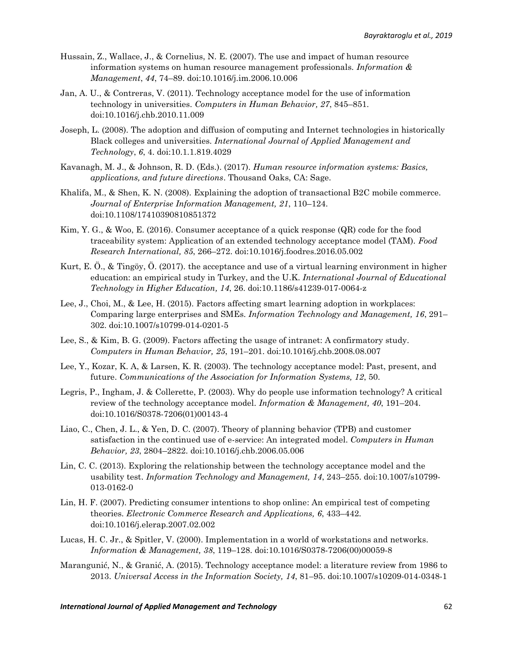- Hussain, Z., Wallace, J., & Cornelius, N. E. (2007). The use and impact of human resource information systems on human resource management professionals. *Information & Management*, *44*, 74–89. doi[:10.1016/j.im.2006.10.006](https://doi.org/10.1016/j.im.2006.10.006)
- Jan, A. U., & Contreras, V. (2011). Technology acceptance model for the use of information technology in universities. *Computers in Human Behavior, 27*, 845–851. doi[:10.1016/j.chb.2010.11.009](https://doi.org/10.1016/j.chb.2010.11.009)
- Joseph, L. (2008). The adoption and diffusion of computing and Internet technologies in historically Black colleges and universities. *International Journal of Applied Management and Technology*, *6*, 4. doi:10.1.1.819.4029
- Kavanagh, M. J., & Johnson, R. D. (Eds.). (2017). *Human resource information systems: Basics, applications, and future directions*. Thousand Oaks, CA: Sage.
- Khalifa, M., & Shen, K. N. (2008). Explaining the adoption of transactional B2C mobile commerce. *Journal of Enterprise Information Management, 21*, 110–124. doi[:10.1108/17410390810851372](https://doi.org/10.1108/17410390810851372)
- Kim, Y. G., & Woo, E. (2016). Consumer acceptance of a quick response (QR) code for the food traceability system: Application of an extended technology acceptance model (TAM). *Food Research International, 85*, 266–272. doi[:10.1016/j.foodres.2016.05.002](https://doi.org/10.1016/j.foodres.2016.05.002)
- Kurt, E. Ö., & Tingöy, Ö. (2017). the acceptance and use of a virtual learning environment in higher education: an empirical study in Turkey, and the U.K. *International Journal of Educational Technology in Higher Education, 14*, 26. doi:10.1186/s41239-017-0064-z
- Lee, J., Choi, M., & Lee, H. (2015). Factors affecting smart learning adoption in workplaces: Comparing large enterprises and SMEs. *Information Technology and Management, 16*, 291– 302. doi:10.1007/s10799-014-0201-5
- Lee, S., & Kim, B. G. (2009). Factors affecting the usage of intranet: A confirmatory study. *Computers in Human Behavior, 25*, 191–201. doi[:10.1016/j.chb.2008.08.007](https://doi.org/10.1016/j.chb.2008.08.007)
- Lee, Y., Kozar, K. A, & Larsen, K. R. (2003). The technology acceptance model: Past, present, and future. *Communications of the Association for Information Systems, 12*, 50.
- Legris, P., Ingham, J. & Collerette, P. (2003). Why do people use information technology? A critical review of the technology acceptance model. *Information & Management, 40*, 191–204. doi[:10.1016/S0378-7206\(01\)00143-4](https://doi.org/10.1016/S0378-7206(01)00143-4)
- Liao, C., Chen, J. L., & Yen, D. C. (2007). Theory of planning behavior (TPB) and customer satisfaction in the continued use of e-service: An integrated model. *Computers in Human Behavior, 23*, 2804–2822. doi[:10.1016/j.chb.2006.05.006](https://doi.org/10.1016/j.chb.2006.05.006)
- Lin, C. C. (2013). Exploring the relationship between the technology acceptance model and the usability test. *Information Technology and Management, 14*, 243–255. doi:10.1007/s10799- 013-0162-0
- Lin, H. F. (2007). Predicting consumer intentions to shop online: An empirical test of competing theories. *Electronic Commerce Research and Applications, 6*, 433–442. doi[:10.1016/j.elerap.2007.02.002](https://doi.org/10.1016/j.elerap.2007.02.002)
- Lucas, H. C. Jr., & Spitler, V. (2000). Implementation in a world of workstations and networks. *Information & Management, 38*, 119–128. doi[:10.1016/S0378-7206\(00\)00059-8](https://doi.org/10.1016/S0378-7206(00)00059-8)
- Marangunić, N., & Granić, A. (2015). Technology acceptance model: a literature review from 1986 to 2013. *Universal Access in the Information Society, 14*, 81–95. doi:10.1007/s10209-014-0348-1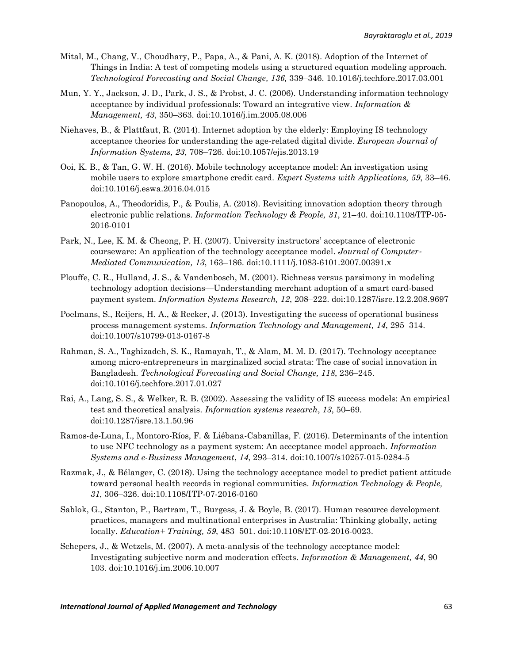- Mital, M., Chang, V., Choudhary, P., Papa, A., & Pani, A. K. (2018). Adoption of the Internet of Things in India: A test of competing models using a structured equation modeling approach. *Technological Forecasting and Social Change, 136,* 339–346. [10.1016/j.techfore.2017.03.001](https://doi.org/10.1016/j.techfore.2017.03.001)
- Mun, Y. Y., Jackson, J. D., Park, J. S., & Probst, J. C. (2006). Understanding information technology acceptance by individual professionals: Toward an integrative view. *Information & Management, 43*, 350–363. doi[:10.1016/j.im.2005.08.006](https://doi.org/10.1016/j.im.2005.08.006)
- Niehaves, B., & Plattfaut, R. (2014). Internet adoption by the elderly: Employing IS technology acceptance theories for understanding the age-related digital divide. *European Journal of Information Systems, 23*, 708–726. doi:10.1057/ejis.2013.19
- Ooi, K. B., & Tan, G. W. H. (2016). Mobile technology acceptance model: An investigation using mobile users to explore smartphone credit card. *Expert Systems with Applications, 59*, 33–46. doi:10.1016/j.eswa.2016.04.015
- Panopoulos, A., Theodoridis, P., & Poulis, A. (2018). Revisiting innovation adoption theory through electronic public relations. *Information Technology & People, 31*, 21–40. doi:10.1108/ITP-05- 2016-0101
- Park, N., Lee, K. M. & Cheong, P. H. (2007). University instructors' acceptance of electronic courseware: An application of the technology acceptance model. *Journal of Computer*‐ *Mediated Communication, 13*, 163–186. doi[:10.1111/j.1083-6101.2007.00391.x](https://doi.org/10.1111/j.1083-6101.2007.00391.x)
- Plouffe, C. R., Hulland, J. S., & Vandenbosch, M. (2001). Richness versus parsimony in modeling technology adoption decisions—Understanding merchant adoption of a smart card-based payment system. *Information Systems Research, 12*, 208–222. doi:10.1287/isre.12.2.208.9697
- Poelmans, S., Reijers, H. A., & Recker, J. (2013). Investigating the success of operational business process management systems. *Information Technology and Management, 14*, 295–314. doi:10.1007/s10799-013-0167-8
- Rahman, S. A., Taghizadeh, S. K., Ramayah, T., & Alam, M. M. D. (2017). Technology acceptance among micro-entrepreneurs in marginalized social strata: The case of social innovation in Bangladesh. *Technological Forecasting and Social Change, 118*, 236–245. doi[:10.1016/j.techfore.2017.01.027](https://doi.org/10.1016/j.techfore.2017.01.027)
- Rai, A., Lang, S. S., & Welker, R. B. (2002). Assessing the validity of IS success models: An empirical test and theoretical analysis. *Information systems research*, *13*, 50–69. doi:10.1287/isre.13.1.50.96
- Ramos-de-Luna, I., Montoro-Ríos, F. & Liébana-Cabanillas, F. (2016). Determinants of the intention to use NFC technology as a payment system: An acceptance model approach. *Information Systems and e-Business Management*, *14*, 293–314. doi:10.1007/s10257-015-0284-5
- Razmak, J., & Bélanger, C. (2018). Using the technology acceptance model to predict patient attitude toward personal health records in regional communities. *Information Technology & People, 31*, 306–326. doi:10.1108/ITP-07-2016-0160
- Sablok, G., Stanton, P., Bartram, T., Burgess, J. & Boyle, B. (2017). Human resource development practices, managers and multinational enterprises in Australia: Thinking globally, acting locally. *Education+ Training, 59*, 483–501. doi[:10.1108/ET-02-2016-0023.](https://doi.org/10.1108/ET-02-2016-0023)
- Schepers, J., & Wetzels, M. (2007). A meta-analysis of the technology acceptance model: Investigating subjective norm and moderation effects. *Information & Management, 44*, 90– 103. doi[:10.1016/j.im.2006.10.007](https://doi.org/10.1016/j.im.2006.10.007)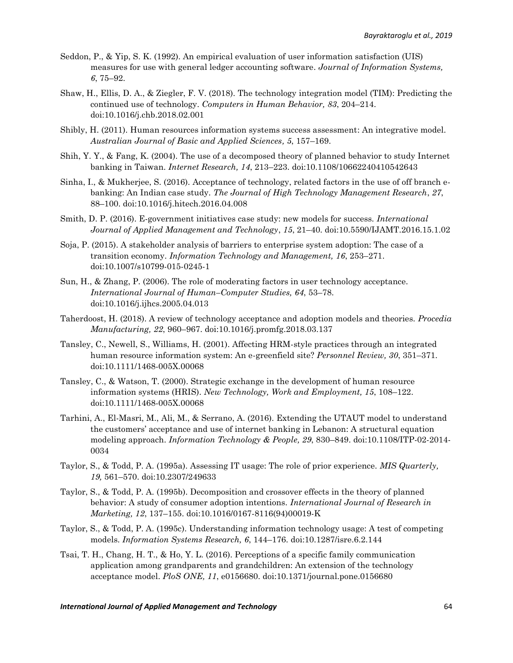- Seddon, P., & Yip, S. K. (1992). An empirical evaluation of user information satisfaction (UIS) measures for use with general ledger accounting software. *Journal of Information Systems, 6*, 75–92.
- Shaw, H., Ellis, D. A., & Ziegler, F. V. (2018). The technology integration model (TIM): Predicting the continued use of technology. *Computers in Human Behavior, 83*, 204–214. doi[:10.1016/j.chb.2018.02.001](https://doi.org/10.1016/j.chb.2018.02.001)
- Shibly, H. (2011). Human resources information systems success assessment: An integrative model. *Australian Journal of Basic and Applied Sciences, 5*, 157–169.
- Shih, Y. Y., & Fang, K. (2004). The use of a decomposed theory of planned behavior to study Internet banking in Taiwan. *Internet Research, 14*, 213–223. doi[:10.1108/10662240410542643](https://doi.org/10.1108/10662240410542643)
- Sinha, I., & Mukherjee, S. (2016). Acceptance of technology, related factors in the use of off branch ebanking: An Indian case study. *The Journal of High Technology Management Research*, *27*, 88–100. doi[:10.1016/j.hitech.2016.04.008](https://doi.org/10.1016/j.hitech.2016.04.008)
- Smith, D. P. (2016). E-government initiatives case study: new models for success. *International Journal of Applied Management and Technology*, *15*, 21–40. doi:10.5590/IJAMT.2016.15.1.02
- Soja, P. (2015). A stakeholder analysis of barriers to enterprise system adoption: The case of a transition economy. *Information Technology and Management, 16*, 253–271. doi:10.1007/s10799-015-0245-1
- Sun, H., & Zhang, P. (2006). The role of moderating factors in user technology acceptance. *International Journal of Human–Computer Studies, 64*, 53–78. doi[:10.1016/j.ijhcs.2005.04.013](https://doi.org/10.1016/j.ijhcs.2005.04.013)
- Taherdoost, H. (2018). A review of technology acceptance and adoption models and theories. *Procedia Manufacturing, 22*, 960–967. doi[:10.1016/j.promfg.2018.03.137](https://doi.org/10.1016/j.promfg.2018.03.137)
- Tansley, C., Newell, S., Williams, H. (2001). Affecting HRM-style practices through an integrated human resource information system: An e-greenfield site? *Personnel Review, 30*, 351–371. doi[:10.1111/1468-005X.00068](https://doi.org/10.1111/1468-005X.00068)
- Tansley, C., & Watson, T. (2000). Strategic exchange in the development of human resource information systems (HRIS). *New Technology, Work and Employment, 15*, 108–122. doi[:10.1111/1468-005X.00068](https://doi.org/10.1111/1468-005X.00068)
- Tarhini, A., El-Masri, M., Ali, M., & Serrano, A. (2016). Extending the UTAUT model to understand the customers' acceptance and use of internet banking in Lebanon: A structural equation modeling approach. *Information Technology & People, 29*, 830–849. doi[:10.1108/ITP-02-2014-](https://doi.org/10.1108/ITP-02-2014-0034) [0034](https://doi.org/10.1108/ITP-02-2014-0034)
- Taylor, S., & Todd, P. A. (1995a). Assessing IT usage: The role of prior experience. *MIS Quarterly, 19,* 561–570. doi:10.2307/249633
- Taylor, S., & Todd, P. A. (1995b). Decomposition and crossover effects in the theory of planned behavior: A study of consumer adoption intentions. *International Journal of Research in Marketing, 12*, 137–155. doi[:10.1016/0167-8116\(94\)00019-K](https://doi.org/10.1016/0167-8116(94)00019-K)
- Taylor, S., & Todd, P. A. (1995c). Understanding information technology usage: A test of competing models. *Information Systems Research, 6*, 144–176. doi[:10.1287/isre.6.2.144](https://doi.org/10.1287/isre.6.2.144)
- Tsai, T. H., Chang, H. T., & Ho, Y. L. (2016). Perceptions of a specific family communication application among grandparents and grandchildren: An extension of the technology acceptance model. *PloS ONE, 11*, e0156680. doi[:10.1371/journal.pone.0156680](https://doi.org/10.1371/journal.pone.0156680)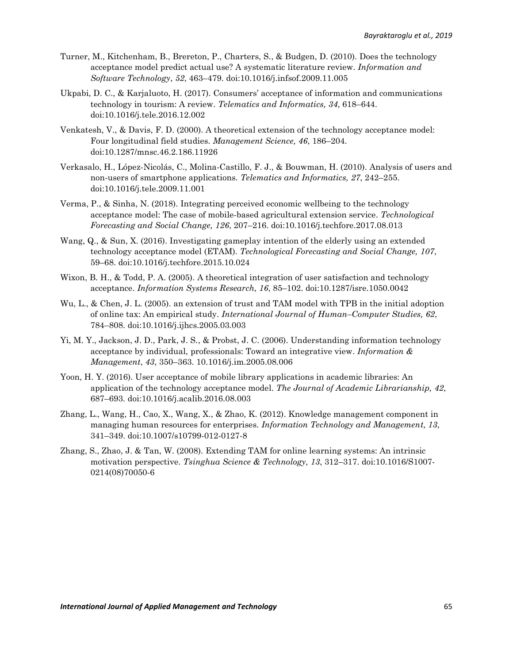- Turner, M., Kitchenham, B., Brereton, P., Charters, S., & Budgen, D. (2010). Does the technology acceptance model predict actual use? A systematic literature review. *Information and Software Technology*, *52*, 463–479. doi[:10.1016/j.infsof.2009.11.005](https://doi.org/10.1016/j.infsof.2009.11.005)
- Ukpabi, D. C., & Karjaluoto, H. (2017). Consumers' acceptance of information and communications technology in tourism: A review. *Telematics and Informatics, 34*, 618–644. doi[:10.1016/j.tele.2016.12.002](https://doi.org/10.1016/j.tele.2016.12.002)
- Venkatesh, V., & Davis, F. D. (2000). A theoretical extension of the technology acceptance model: Four longitudinal field studies. *Management Science, 46*, 186–204. doi[:10.1287/mnsc.46.2.186.11926](https://doi.org/10.1287/mnsc.46.2.186.11926)
- Verkasalo, H., López-Nicolás, C., Molina-Castillo, F. J., & Bouwman, H. (2010). Analysis of users and non-users of smartphone applications. *Telematics and Informatics, 27*, 242–255. doi[:10.1016/j.tele.2009.11.001](https://doi.org/10.1016/j.tele.2009.11.001)
- Verma, P., & Sinha, N. (2018). Integrating perceived economic wellbeing to the technology acceptance model: The case of mobile-based agricultural extension service. *Technological Forecasting and Social Change, 126*, 207–216. doi[:10.1016/j.techfore.2017.08.013](https://doi.org/10.1016/j.techfore.2017.08.013)
- Wang, Q., & Sun, X. (2016). Investigating gameplay intention of the elderly using an extended technology acceptance model (ETAM). *Technological Forecasting and Social Change, 107*, 59–68. doi[:10.1016/j.techfore.2015.10.024](https://doi.org/10.1016/j.techfore.2015.10.024)
- Wixon, B. H., & Todd, P. A. (2005). A theoretical integration of user satisfaction and technology acceptance. *Information Systems Research, 16*, 85–102. doi:10.1287/isre.1050.0042
- Wu, L., & Chen, J. L. (2005). an extension of trust and TAM model with TPB in the initial adoption of online tax: An empirical study. *International Journal of Human–Computer Studies, 62*, 784–808. doi[:10.1016/j.ijhcs.2005.03.003](https://doi.org/10.1016/j.ijhcs.2005.03.003)
- Yi, M. Y., Jackson, J. D., Park, J. S., & Probst, J. C. (2006). Understanding information technology acceptance by individual, professionals: Toward an integrative view. *Information & Management*, *43*, 350–363. [10.1016/j.im.2005.08.006](https://doi.org/10.1016/j.im.2005.08.006)
- Yoon, H. Y. (2016). User acceptance of mobile library applications in academic libraries: An application of the technology acceptance model. *The Journal of Academic Librarianship, 42*, 687–693. doi[:10.1016/j.acalib.2016.08.003](https://doi.org/10.1016/j.acalib.2016.08.003)
- Zhang, L., Wang, H., Cao, X., Wang, X., & Zhao, K. (2012). Knowledge management component in managing human resources for enterprises. *Information Technology and Management, 13*, 341–349. doi:10.1007/s10799-012-0127-8
- Zhang, S., Zhao, J. & Tan, W. (2008). Extending TAM for online learning systems: An intrinsic motivation perspective. *Tsinghua Science & Technology, 13*, 312–317. doi[:10.1016/S1007-](https://doi.org/10.1016/S1007-0214(08)70050-6) [0214\(08\)70050-6](https://doi.org/10.1016/S1007-0214(08)70050-6)